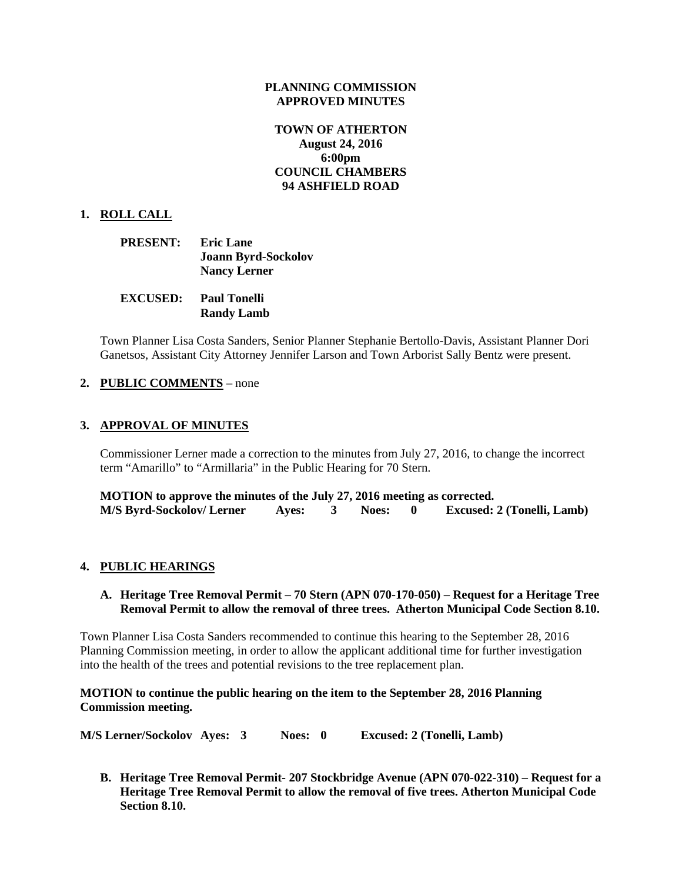### **PLANNING COMMISSION APPROVED MINUTES**

### **TOWN OF ATHERTON August 24, 2016 6:00pm COUNCIL CHAMBERS 94 ASHFIELD ROAD**

### **1. ROLL CALL**

| <b>PRESENT:</b> | <b>Eric Lane</b>           |
|-----------------|----------------------------|
|                 | <b>Joann Byrd-Sockolov</b> |
|                 | <b>Nancy Lerner</b>        |

**EXCUSED: Paul Tonelli Randy Lamb**

Town Planner Lisa Costa Sanders, Senior Planner Stephanie Bertollo-Davis, Assistant Planner Dori Ganetsos, Assistant City Attorney Jennifer Larson and Town Arborist Sally Bentz were present.

#### **2. PUBLIC COMMENTS** – none

## **3. APPROVAL OF MINUTES**

Commissioner Lerner made a correction to the minutes from July 27, 2016, to change the incorrect term "Amarillo" to "Armillaria" in the Public Hearing for 70 Stern.

**MOTION to approve the minutes of the July 27, 2016 meeting as corrected. M/S Byrd-Sockolov/ Lerner Ayes: 3 Noes: 0 Excused: 2 (Tonelli, Lamb)**

#### **4. PUBLIC HEARINGS**

### **A. Heritage Tree Removal Permit – 70 Stern (APN 070-170-050) – Request for a Heritage Tree Removal Permit to allow the removal of three trees. Atherton Municipal Code Section 8.10.**

Town Planner Lisa Costa Sanders recommended to continue this hearing to the September 28, 2016 Planning Commission meeting, in order to allow the applicant additional time for further investigation into the health of the trees and potential revisions to the tree replacement plan.

**MOTION to continue the public hearing on the item to the September 28, 2016 Planning Commission meeting.**

**M/S Lerner/Sockolov Ayes: 3 Noes: 0 Excused: 2 (Tonelli, Lamb)**

**B. Heritage Tree Removal Permit- 207 Stockbridge Avenue (APN 070-022-310) – Request for a Heritage Tree Removal Permit to allow the removal of five trees. Atherton Municipal Code Section 8.10.**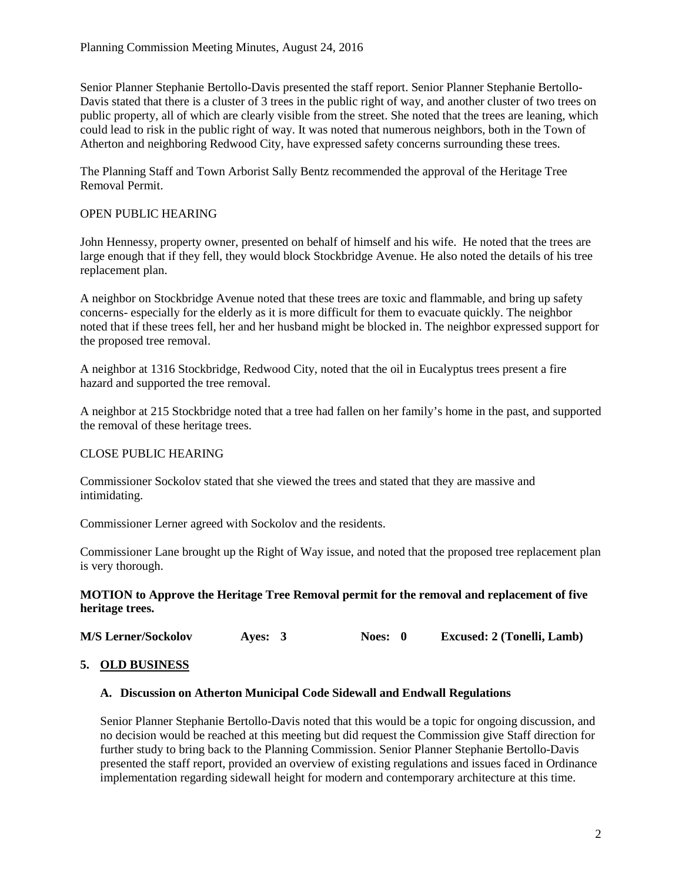Senior Planner Stephanie Bertollo-Davis presented the staff report. Senior Planner Stephanie Bertollo-Davis stated that there is a cluster of 3 trees in the public right of way, and another cluster of two trees on public property, all of which are clearly visible from the street. She noted that the trees are leaning, which could lead to risk in the public right of way. It was noted that numerous neighbors, both in the Town of Atherton and neighboring Redwood City, have expressed safety concerns surrounding these trees.

The Planning Staff and Town Arborist Sally Bentz recommended the approval of the Heritage Tree Removal Permit.

## OPEN PUBLIC HEARING

John Hennessy, property owner, presented on behalf of himself and his wife. He noted that the trees are large enough that if they fell, they would block Stockbridge Avenue. He also noted the details of his tree replacement plan.

A neighbor on Stockbridge Avenue noted that these trees are toxic and flammable, and bring up safety concerns- especially for the elderly as it is more difficult for them to evacuate quickly. The neighbor noted that if these trees fell, her and her husband might be blocked in. The neighbor expressed support for the proposed tree removal.

A neighbor at 1316 Stockbridge, Redwood City, noted that the oil in Eucalyptus trees present a fire hazard and supported the tree removal.

A neighbor at 215 Stockbridge noted that a tree had fallen on her family's home in the past, and supported the removal of these heritage trees.

## CLOSE PUBLIC HEARING

Commissioner Sockolov stated that she viewed the trees and stated that they are massive and intimidating.

Commissioner Lerner agreed with Sockolov and the residents.

Commissioner Lane brought up the Right of Way issue, and noted that the proposed tree replacement plan is very thorough.

### **MOTION to Approve the Heritage Tree Removal permit for the removal and replacement of five heritage trees.**

**M/S Lerner/Sockolov Ayes: 3 Noes: 0 Excused: 2 (Tonelli, Lamb)**

### **5. OLD BUSINESS**

#### **A. Discussion on Atherton Municipal Code Sidewall and Endwall Regulations**

Senior Planner Stephanie Bertollo-Davis noted that this would be a topic for ongoing discussion, and no decision would be reached at this meeting but did request the Commission give Staff direction for further study to bring back to the Planning Commission. Senior Planner Stephanie Bertollo-Davis presented the staff report, provided an overview of existing regulations and issues faced in Ordinance implementation regarding sidewall height for modern and contemporary architecture at this time.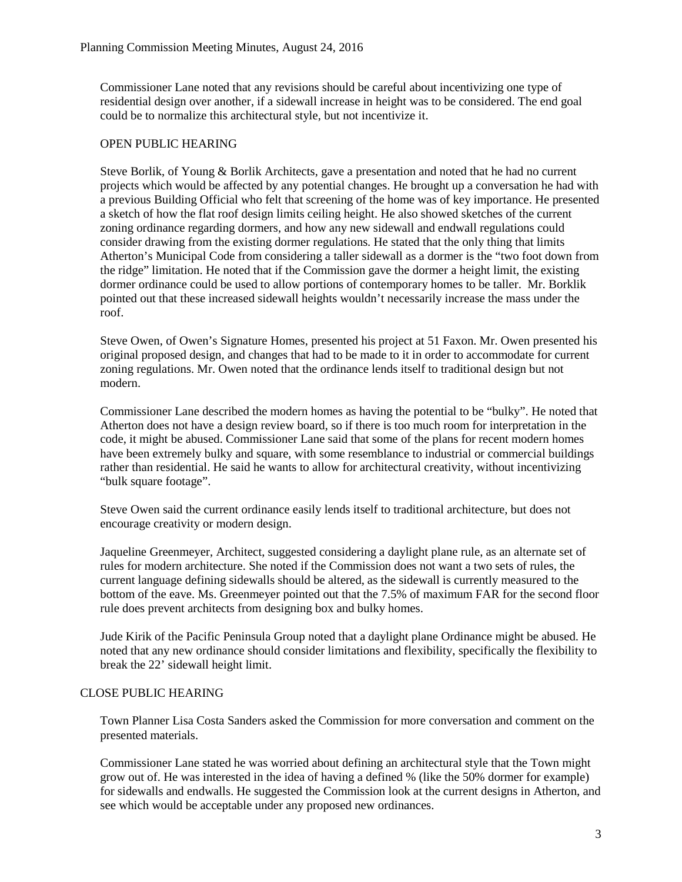Commissioner Lane noted that any revisions should be careful about incentivizing one type of residential design over another, if a sidewall increase in height was to be considered. The end goal could be to normalize this architectural style, but not incentivize it.

## OPEN PUBLIC HEARING

Steve Borlik, of Young & Borlik Architects, gave a presentation and noted that he had no current projects which would be affected by any potential changes. He brought up a conversation he had with a previous Building Official who felt that screening of the home was of key importance. He presented a sketch of how the flat roof design limits ceiling height. He also showed sketches of the current zoning ordinance regarding dormers, and how any new sidewall and endwall regulations could consider drawing from the existing dormer regulations. He stated that the only thing that limits Atherton's Municipal Code from considering a taller sidewall as a dormer is the "two foot down from the ridge" limitation. He noted that if the Commission gave the dormer a height limit, the existing dormer ordinance could be used to allow portions of contemporary homes to be taller. Mr. Borklik pointed out that these increased sidewall heights wouldn't necessarily increase the mass under the roof.

Steve Owen, of Owen's Signature Homes, presented his project at 51 Faxon. Mr. Owen presented his original proposed design, and changes that had to be made to it in order to accommodate for current zoning regulations. Mr. Owen noted that the ordinance lends itself to traditional design but not modern.

Commissioner Lane described the modern homes as having the potential to be "bulky". He noted that Atherton does not have a design review board, so if there is too much room for interpretation in the code, it might be abused. Commissioner Lane said that some of the plans for recent modern homes have been extremely bulky and square, with some resemblance to industrial or commercial buildings rather than residential. He said he wants to allow for architectural creativity, without incentivizing "bulk square footage".

Steve Owen said the current ordinance easily lends itself to traditional architecture, but does not encourage creativity or modern design.

Jaqueline Greenmeyer, Architect, suggested considering a daylight plane rule, as an alternate set of rules for modern architecture. She noted if the Commission does not want a two sets of rules, the current language defining sidewalls should be altered, as the sidewall is currently measured to the bottom of the eave. Ms. Greenmeyer pointed out that the 7.5% of maximum FAR for the second floor rule does prevent architects from designing box and bulky homes.

Jude Kirik of the Pacific Peninsula Group noted that a daylight plane Ordinance might be abused. He noted that any new ordinance should consider limitations and flexibility, specifically the flexibility to break the 22' sidewall height limit.

## CLOSE PUBLIC HEARING

Town Planner Lisa Costa Sanders asked the Commission for more conversation and comment on the presented materials.

Commissioner Lane stated he was worried about defining an architectural style that the Town might grow out of. He was interested in the idea of having a defined % (like the 50% dormer for example) for sidewalls and endwalls. He suggested the Commission look at the current designs in Atherton, and see which would be acceptable under any proposed new ordinances.